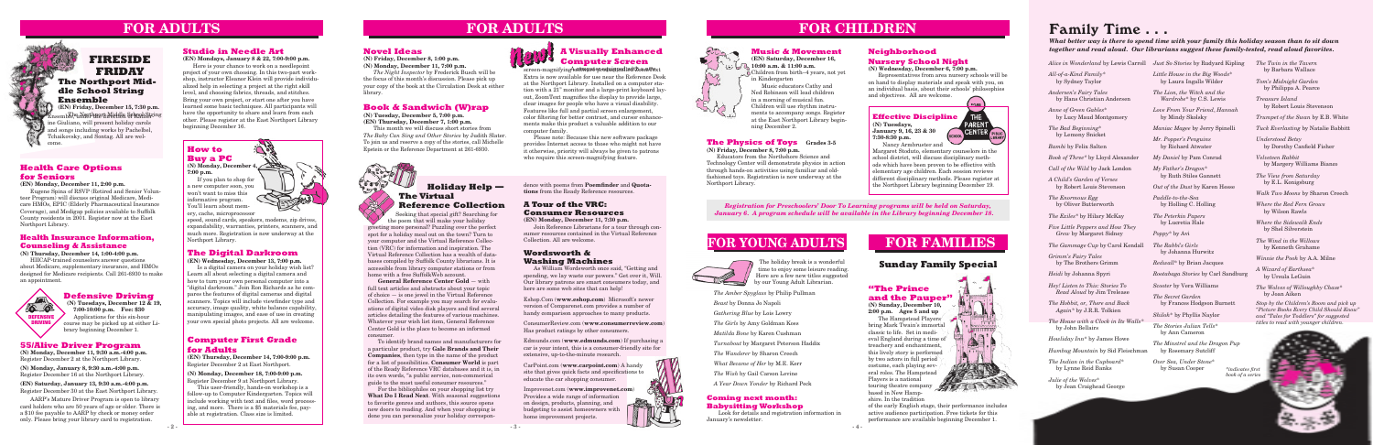#### **Defensive Driving**

 **(N) Tuesdays, December 12 & 19, 7:00-10:00 p.m. Fee: \$30** Applications for this six-hour course may be picked up at either Library beginning December 1.

#### **Effective Discipline (N) Tuesdays, January 9, 16, 23 & 30 7:30-8:30 p.m.**



Nancy Armbruster and Margaret Stoduto, elementary counselors in the school district, will discuss disciplinary methods which have been proven to be effective with elementary age children. Each session reviews different disciplinary methods. Please register at the Northport Library beginning December 19.

#### **Computer First Grade for Adults**

**(EN) Thursday, December 14, 7:00-9:00 p.m.** Register December 2 at East Northport.

**(N) Monday, December 18, 7:00-9:00 p.m.** Register December 9 at Northport Library.

This user-friendly, hands-on workshop is a follow-up to Computer Kindergarten. Topics will include working with text and files, word processing, and more. There is a \$5 materials fee, payable at registration. Class size is limited.

#### **Book & Sandwich (W)rap**

**(N) Tuesday, December 5, 7:00 p.m. (EN) Thursday, December 7, 1:00 p.m.**

This month we will discuss short stories from *The Baby Can Sing and Other Stories* by Judith Slater. To join us and reserve a copy of the stories, call Michelle Epstein or the Reference Department at 261-6930.

# **FOR ADULTS**



#### **"The Prince and the Pauper"**

**(N) Sunday, December 10, 2:00 p.m. Ages 5 and up**

The Hampstead Players bring Mark Twain's immortal classic to life. Set in medieval England during a time of treachery and enchantment, this lively story is performed by two actors in full period costume, each playing several roles. The Hampstead Players is a national touring theatre company based in New Hampshire. In the tradition

of the early English stage, their performance includes active audience participation. Free tickets for this performance are available beginning December 1.

#### **The Physics of Toys Grades 3-5**

**(N) Friday, December 8, 7:00 p.m.**

Educators from the Northshore Science and Technology Center will demonstrate physics in action through hands-on activities using familiar and oldfashioned toys. Registration is now underway at the Northport Library.

### **Sunday Family Special**

#### **Neighborhood Nursery School Night**

**(N) Wednesday, December 6, 7:00 p.m.**

Representatives from area nursery schools will be on hand to display materials and speak with you, on an individual basis, about their schools' philosophies and objectives. All are welcome.

# **FOR YOUNG ADULTS**



**FOR CHILDREN**

#### **55/Alive Driver Program**

**(N) Monday, December 11, 9:30 a.m.-4:00 p.m.** Register December 2 at the Northport Library.

**(N) Monday, January 8, 9:30 a.m.-4:00 p.m.** Register December 16 at the Northport Library.

### **FIRESIDE FRIDAY The Northport Middle School String Ensemble**

**(EN) Saturday, January 13, 9:30 a.m.-4:00 p.m.** Register December 30 at the East Northport Library.

screen-magnifying softwave product red with computer Extra is now available for use near the Reference Desk at the Northport Library. Installed on a computer station with a 21" monitor and a large-print keyboard layout, ZoomText magnifies the display to provide large, clear images for people who have a visual disability. Features like full and partial screen enlargement, color filtering for better contrast, and cursor enhancements make this product a valuable addition to our computer family.

AARP's Mature Driver Program is open to library card holders who are 50 years of age or older. There is a \$10 fee payable to AARP by check or money order only. Please bring your library card to registration.

### **How to Buy a PC**



**7:00 p.m.**

If you plan to shop for a new computer soon, you won't want to miss this informative program. You'll learn about memory, cache, microprocessor

speed, sound cards, speakers, modems, zip drives, expandability, warranties, printers, scanners, and much more. Registration is now underway at the Northport Library.

### **A Tour of the VRC: Consumer Resources**

**(EN) Monday, December 11, 7:30 p.m.**

Join Reference Librarians for a tour through consumer resources contained in the Virtual Reference Collection. All are welcome.

#### **Studio in Needle Art**

#### **(EN) Mondays, January 8 & 22, 7:00-9:00 p.m.**

Here is your chance to work on a needlepoint project of your own choosing. In this two-part workshop, instructor Eleanor Klein will provide individualized help in selecting a project at the right skill level, and choosing fabrics, threads, and stitches. Bring your own project, or start one after you have learned some basic techniques. All participants will have the opportunity to share and learn from each other. Please register at the East Northport Library beginning December 16.

# **FOR FAMILIES**

# **FOR ADULTS**

#### **The Digital Darkroom**

**(EN) Wednesday, December 13, 7:00 p.m.**

Is a digital camera on your holiday wish list? Learn all about selecting a digital camera and how to turn your own personal computer into a "digital darkroom." Join Ron Richards as he compares the features of digital cameras and digital scanners. Topics will include viewfinder type and accuracy, image quality, white balance capability, manipulating images, and ease of use in creating your own special photo projects. All are welcome.

#### **Health Care Options for Seniors**

#### **(EN) Monday, December 11, 2:00 p.m.**

Eugene Spina of RSVP (Retired and Senior Volunteer Program) will discuss original Medicare, Medicare HMOs, EPIC (Elderly Pharmaceutical Insurance Coverage), and Medigap policies available to Suffolk County residents in 2001. Register now at the East Northport Library.

#### **A Visually Enhanced Computer Screen**

Please note: Because this new software package provides Internet access to those who might not have it otherwise, priority will always be given to patrons who require this screen-magnifying feature.

dence with poems from **Poemfinder** and **Quotations** from the Ready Reference resources.

> *Registration for Preschoolers' Door To Learning programs will be held on Saturday, January 6. A program schedule will be available in the Library beginning December 18.*

#### **Novel Ideas**

 $0.0000$ 

#### **(N) Friday, December 8, 1:00 p.m.**

**(N) Monday, December 11, 7:00 p.m.** *The Night Inspector* by Frederick Busch will be

the focus of this month's discussion. Please pick up your copy of the book at the Circulation Desk at either library.

> The holiday break is a wonderful time to enjoy some leisure reading. Here are a few new titles suggested by our Young Adult Librarian.

*The Amber Spyglass* by Philip Pullman *Beast* by Donna Jo Napoli

- *Gathering Blue* by Lois Lowry
- *The Girls* by Amy Goldman Koss
- *Matilda Bone* by Karen Cushman
- *Turnabout* by Margaret Peterson Haddix
- *The Wanderer* by Sharon Creech
- *What Became of Her* by M.E. Kerr
- *The Wish* by Gail Carson Levine
- *A Year Down Yonder* by Richard Peck

### **Music & Movement**

**(EN) Saturday, December 16, 10:00 a.m. & 11:00 a.m.** Children from birth–4 years, not yet



Music educators Cathy and Ned Robinson will lead children in a morning of musical fun. Children will use rhythm instruments to accompany songs. Register at the East Northport Library beginning December 2.

**DEFENSIVE DRIVING** 

**10 01** 

*All-of-a-Kind Family*\* by Sydney Taylor

*Andersen's Fairy Tales*  by Hans Christian Andersen

*Anne of Green Gables*\* by Lucy Maud Montgomery

*The Bad Beginning*\* by Lemony Snicket

*Bambi* by Felix Salten

*Book of Three\** by Lloyd Alexander

*Call of the Wild* by Jack London

*A Child's Garden of Verses* by Robert Louis Stevenson

*The Enormous Egg*  by Oliver Butterworth

*The Exiles\** by Hilary McKay

*Five Little Peppers and How They Grew* by Margaret Sidney

*Alice in Wonderland* by Lewis Carroll *Just So Stories* by Rudyard Kipling

*The Gammage Cup* by Carol Kendall

*Grimm's Fairy Tales*  by The Brothers Grimm

*Heidi* by Johanna Spyri

*Hey! Listen to This: Stories To Read Aloud* by Jim Trelease

*The Hobbit, or, There and Back Again\** by J.R.R. Tolkien

*The House with a Clock in Its Walls\** by John Bellairs

*Howliday Inn*\* by James Howe

*Humbug Mountain* by Sid Fleischman

*The Indian in the Cupboard*\* by Lynne Reid Banks

*Julie of the Wolves*\* by Jean Craighead George *Little House in the Big Woods*\* by Laura Ingalls Wilder

*The Lion, the Witch and the Wardrobe*\* by C.S. Lewis

*Love From Your Friend*, *Hannah*  by Mindy Skolsky

*Maniac Magee* by Jerry Spinelli

**(EN) Friday, December 15, 7:30 p.m.** Ensemb<del>le, under theora Middle School Str</del>ing ine Giuliano, will present holiday carols and songs including works by Pachelbel, Tchaikovsky, and Sontag. All are welcome.

*Mr. Popper's Penguins* by Richard Atwater

*My Daniel* by Pam Conrad

*My Father's Dragon*\* by Ruth Stiles Gannett

*Out of the Dust* by Karen Hesse

*Paddle-to-the-Sea* by Holling C. Holling

*The Peterkin Papers* by Lucretia Hale

*Poppy*\* by Avi

*The Rabbi's Girls* by Johanna Hurwitz

*Redwall*\* by Brian Jacques

*Rootabaga Stories* by Carl Sandburg

*Scooter* by Vera Williams

*The Secret Garden* by Frances Hodgson Burnett

*Shiloh*\* by Phyllis Naylor

*The Stories Julian Tells*\* by Ann Cameron

*The Minstrel and the Dragon Pup* by Rosemary Sutcliff

*Over Sea, Under Stone*\* by Susan Cooper

*The Twin in the Tavern* by Barbara Wallace

*Tom's Midnight Garden* by Philippa A. Pearce

*Treasure Island* by Robert Louis Stevenson

*Trumpet of the Swan* by E.B. White

*Tuck Everlasting* by Natalie Babbitt

*Understood Betsy* by Dorothy Canfield Fisher

*Velveteen Rabbit* by Margery Williams Bianco

*The View from Saturday* by E.L. Konigsburg

*Walk Two Moons* by Sharon Creech

*Where the Red Fern Grows* by Wilson Rawls

*Where the Sidewalk Ends* by Shel Silverstein

*The Wind in the Willows* by Kenneth Grahame

*Winnie the Pooh* by A.A. Milne

*A Wizard of Earthsea*\* by Ursula LeGuin

*The Wolves of Willoughby Chase*\* by Joan Aiken

# Family Time . . .



#### *What better way is there to spend time with your family this holiday season than to sit down together and read aloud. Our librarians suggest these family-tested, read aloud favorites.*

*Stop by the Children's Room and pick up "Picture Books Every Child Should Know" and "Tales for Toddlers" for suggested titles to read with younger children.*

#### **Wordsworth & Washing Machines**

As William Wordsworth once said, "Getting and spending, we lay waste our powers." Get over it, Will. Our library patrons are smart consumers today, and here are some web sites that can help!

Eshop.Com (**www.eshop.com**) Microsoft's newer version of Comparenet.com provides a number of handy comparison approaches to many products.

ConsumerReview.com (**www.consumerreview.com**) Has product ratings by other consumers.

Edmunds.com (**www.edmunds.com**) If purchasing a car is your intent, this is a consumer-friendly site for extensive, up-to-the-minute research.

CarPoint.com (**www.carpoint.com**) A handy site that gives quick facts and specifications to educate the car shopping consumer.

Improvenet.com (**www.improvenet.com**) Provides a wide range of information on design, products, planning, and budgeting to assist homeowners with home improvement projects.

### **Holiday Help — The Virtual Reference Collection**

 Seeking that special gift? Searching for the poem that will make your holiday

greeting more personal? Puzzling over the perfect spot for a holiday meal out on the town? Turn to your computer and the Virtual Reference Collection (VRC) for information and inspiration. The Virtual Reference Collection has a wealth of databases compiled by Suffolk County librarians. It is accessible from library computer stations or from home with a free SuffolkWeb account.

**General Reference Center Gold** — with full text articles and abstracts about your topic of choice — is one jewel in the Virtual Reference Collection. For example you may search for evaluations of digital video disk players and find several articles detailing the features of various machines. Whatever your wish list item, General Reference Center Gold is the place to become an informed consumer.

To identify brand names and manufacturers for a particular product, try **Gale Brands and Their Companies**, then type in the name of the product for a list of possibilities. **Consumer World** is part of the Ready Reference VRC databases and it is, in its own words, "a public service, non-commerical guide to the most useful consumer resources."

For the bibliophiles on your shopping list try **What Do I Read Next**. With seasonal suggestions to favorite genres and authors, this source opens new doors to reading. And when your shopping is done you can personalize your holiday correspon-

#### **Health Insurance Information, Counseling & Assistance**

#### **(N) Thursday, December 14, 1:00-4:00 p.m.**

HIICAP-trained counselors answer questions about Medicare, supplementary insurance, and HMOs designed for Medicare recipients. Call 261-6930 to make an appointment.

#### **Coming next month: Babysitting Workshop**

 Look for details and registration information in January's newsletter.